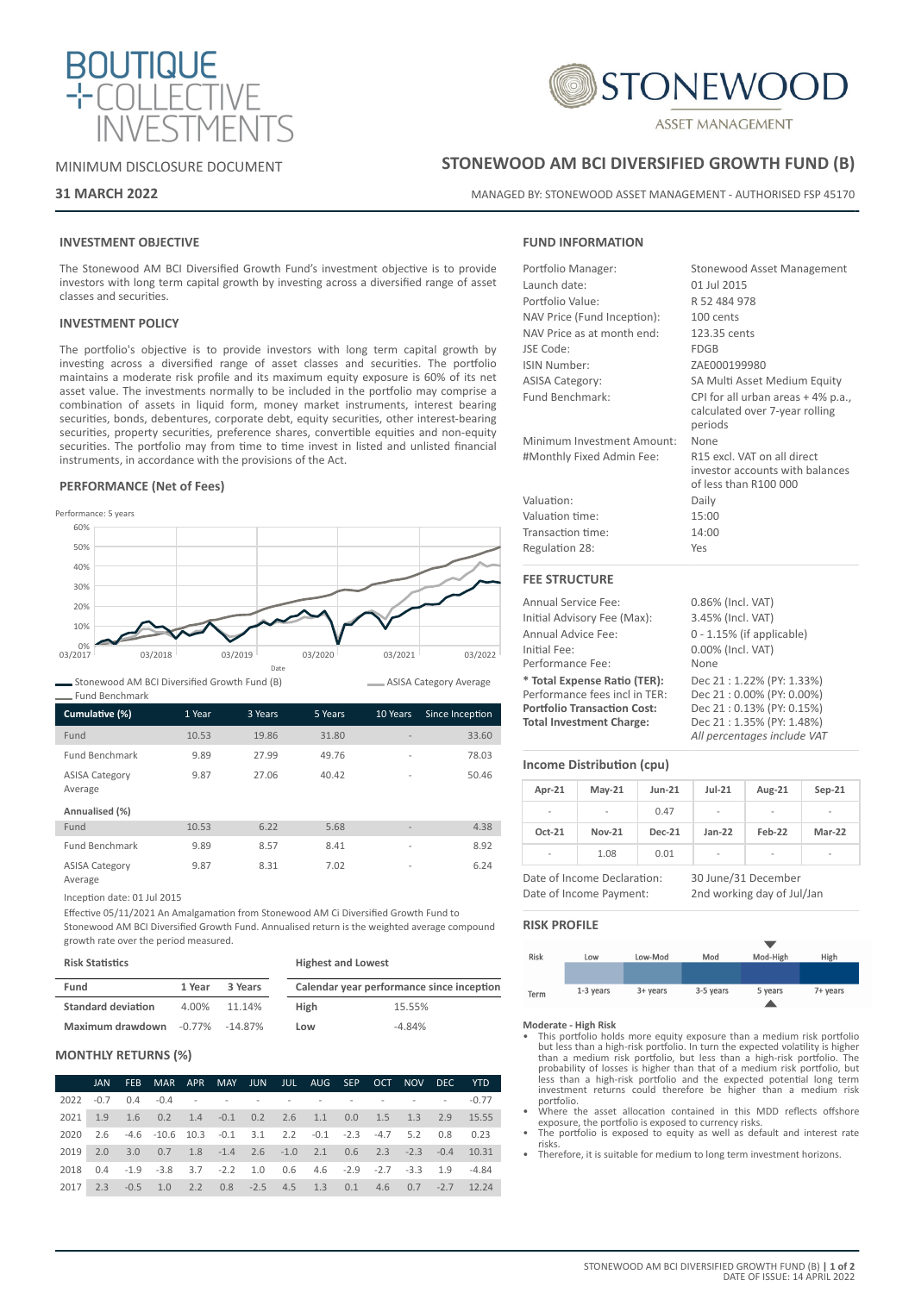



# MINIMUM DISCLOSURE DOCUMENT

# **31 MARCH 2022**

# **STONEWOOD AM BCI DIVERSIFIED GROWTH FUND (B)**

MANAGED BY: STONEWOOD ASSET MANAGEMENT - AUTHORISED FSP 45170

# **INVESTMENT OBJECTIVE**

The Stonewood AM BCI Diversified Growth Fund's investment objective is to provide investors with long term capital growth by investing across a diversified range of asset classes and securities.

# **INVESTMENT POLICY**

The portfolio's objective is to provide investors with long term capital growth by investing across a diversified range of asset classes and securities. The portfolio maintains a moderate risk profile and its maximum equity exposure is 60% of its net asset value. The investments normally to be included in the portfolio may comprise a combination of assets in liquid form, money market instruments, interest bearing securities, bonds, debentures, corporate debt, equity securities, other interest-bearing securities, property securities, preference shares, convertible equities and non-equity securities. The portfolio may from time to time invest in listed and unlisted financial instruments, in accordance with the provisions of the Act.

# **PERFORMANCE (Net of Fees)**



Stonewood AM BCI Diversified Growth Fund (B)

| Cumulative (%)                   | 1 Year | 3 Years | 5 Years | 10 Years                 | Since Inception |
|----------------------------------|--------|---------|---------|--------------------------|-----------------|
| Fund                             | 10.53  | 19.86   | 31.80   |                          | 33.60           |
| <b>Fund Benchmark</b>            | 9.89   | 27.99   | 49.76   | $\overline{a}$           | 78.03           |
| <b>ASISA Category</b><br>Average | 9.87   | 27.06   | 40.42   | $\overline{\phantom{a}}$ | 50.46           |
| Annualised (%)                   |        |         |         |                          |                 |
| Fund                             | 10.53  | 6.22    | 5.68    | $\overline{\phantom{a}}$ | 4.38            |
| <b>Fund Benchmark</b>            | 9.89   | 8.57    | 8.41    | $\overline{\phantom{0}}$ | 8.92            |
| <b>ASISA Category</b>            | 9.87   | 8.31    | 7.02    | $\overline{\phantom{a}}$ | 6.24            |

Average

Fund Benchmark

Inception date: 01 Jul 2015

Effective 05/11/2021 An Amalgamation from Stonewood AM Ci Diversified Growth Fund to Stonewood AM BCI Diversified Growth Fund. Annualised return is the weighted average compound growth rate over the period measured.

| <b>Risk Statistics</b>                |        |         | <b>Highest and Lowest</b> |                                           |  |  |
|---------------------------------------|--------|---------|---------------------------|-------------------------------------------|--|--|
| Fund                                  | 1 Year | 3 Years |                           | Calendar year performance since inception |  |  |
| <b>Standard deviation</b>             | 4.00%  | 11.14%  | <b>High</b>               | 15.55%                                    |  |  |
| Maximum drawdown $-0.77\%$ $-14.87\%$ |        |         | Low                       | $-4.84%$                                  |  |  |

# **MONTHLY RETURNS (%)**

|      | <b>JAN</b> | FEB         | MAR APR                                                                       |  |  | MAY JUN JUL AUG SEP |  | OCT NOV | DEC.                          | <b>YTD</b> |
|------|------------|-------------|-------------------------------------------------------------------------------|--|--|---------------------|--|---------|-------------------------------|------------|
| 2022 | $-0.7$     |             | $0.4$ $-0.4$ $    -$                                                          |  |  |                     |  |         | the company of the company of | $-0.77$    |
| 2021 |            |             | 1.9 1.6 0.2 1.4 -0.1 0.2 2.6 1.1 0.0 1.5 1.3 2.9 15.55                        |  |  |                     |  |         |                               |            |
| 2020 |            |             | 2.6 -4.6 -10.6 10.3 -0.1 3.1 2.2 -0.1 -2.3 -4.7 5.2 0.8 0.23                  |  |  |                     |  |         |                               |            |
| 2019 |            |             | 2.0 3.0 0.7 1.8 -1.4 2.6 -1.0 2.1 0.6 2.3 -2.3 -0.4 10.31                     |  |  |                     |  |         |                               |            |
| 2018 |            |             | $0.4$ $-1.9$ $-3.8$ $3.7$ $-2.2$ $1.0$ $0.6$ $4.6$ $-2.9$ $-2.7$ $-3.3$ $1.9$ |  |  |                     |  |         |                               | -4.84      |
| 2017 |            | $2.3 - 0.5$ | 1.0 2.2 0.8 -2.5 4.5 1.3 0.1 4.6 0.7 -2.7                                     |  |  |                     |  |         |                               | 12.24      |

# **FUND INFORMATION**

| Portfolio Manager:          | Stonewood Asset Management                                                              |
|-----------------------------|-----------------------------------------------------------------------------------------|
| Launch date:                | 01 Jul 2015                                                                             |
| Portfolio Value:            | R 52 484 978                                                                            |
| NAV Price (Fund Inception): | 100 cents                                                                               |
| NAV Price as at month end:  | 123.35 cents                                                                            |
| JSE Code:                   | <b>FDGB</b>                                                                             |
| ISIN Number:                | ZAE000199980                                                                            |
| <b>ASISA Category:</b>      | SA Multi Asset Medium Equity                                                            |
| Fund Benchmark:             | CPI for all urban areas +4% p.a.,<br>calculated over 7-year rolling<br>periods          |
| Minimum Investment Amount:  | None                                                                                    |
| #Monthly Fixed Admin Fee:   | R15 excl. VAT on all direct<br>investor accounts with balances<br>of less than R100 000 |
| Valuation:                  | Daily                                                                                   |
| Valuation time:             | 15:00                                                                                   |
| Transaction time:           | 14:00                                                                                   |
| Regulation 28:              | Yes                                                                                     |
| <b>FEE STRUCTURE</b>        |                                                                                         |
| <b>Annual Service Fee:</b>  | 0.86% (Incl. VAT)                                                                       |
|                             |                                                                                         |

Initial Advisory Fee (Max): 3.45% (Incl. VAT) Annual Advice Fee: 0 - 1.15% (if applicable) Initial Fee: 0.00% (Incl. VAT) Performance Fee: **\* Total Expense Ratio (TER):** Dec 21 : 1.22% (PY: 1.33%) Performance fees incl in TER:<br>Portfolio Transaction Cost: **Portfolio Transaction Cost:** Dec 21 : 0.13% (PY: 0.15%) **Total Investment Charge:** Dec 21 : 1.35% (PY: 1.48%) *All percentages include VAT*

# **Income Distribution (cpu)**

| Apr-21                  | $May-21$                    | Jun-21        | $Jul-21$                   | Aug-21 | $Sep-21$      |  |
|-------------------------|-----------------------------|---------------|----------------------------|--------|---------------|--|
|                         |                             | 0.47          |                            |        |               |  |
| Oct-21                  | <b>Nov-21</b>               | <b>Dec-21</b> | $Jan-22$                   | Feb-22 | <b>Mar-22</b> |  |
|                         | 1.08                        | 0.01          | $\overline{\phantom{0}}$   |        |               |  |
|                         | Date of Income Declaration: |               | 30 June/31 December        |        |               |  |
| Date of Income Payment: |                             |               | 2nd working day of Jul/Jan |        |               |  |

#### **RISK PROFILE**

ASISA Category Average



**Moderate - High Risk**

- This portfolio holds more equity exposure than a medium risk portfolio but less than a high-risk portfolio. In turn the expected volatility is higher than a medium risk portfolio, but less than a high-risk portfolio. The probability of losses is higher than that of a medium risk portfolio, but less than a high-risk portfolio and the expected potential long term investment returns could therefore be higher than a medium risk portfolio.
- Where the asset allocation contained in this MDD reflects offshore exposure, the portfolio is exposed to currency risks. • The portfolio is exposed to equity as well as default and interest rate
- risks.
- Therefore, it is suitable for medium to long term investment horizons.